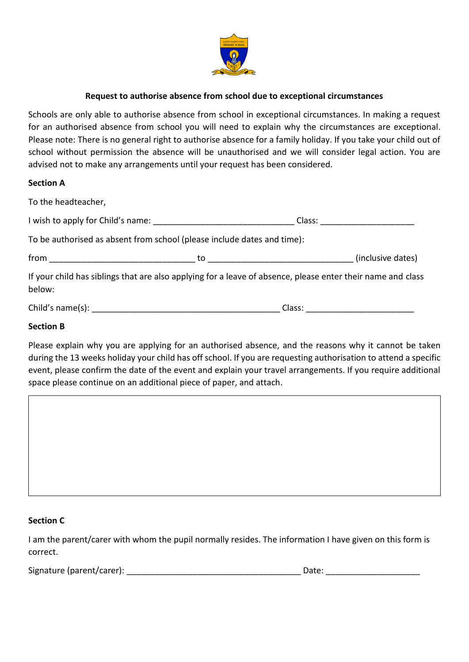

# **Request to authorise absence from school due to exceptional circumstances**

Schools are only able to authorise absence from school in exceptional circumstances. In making a request for an authorised absence from school you will need to explain why the circumstances are exceptional. Please note: There is no general right to authorise absence for a family holiday. If you take your child out of school without permission the absence will be unauthorised and we will consider legal action. You are advised not to make any arrangements until your request has been considered.

## **Section A**

| To the headteacher,                                                                                                   |        |                   |
|-----------------------------------------------------------------------------------------------------------------------|--------|-------------------|
|                                                                                                                       | Class: |                   |
| To be authorised as absent from school (please include dates and time):                                               |        |                   |
| from __________________________                                                                                       |        | (inclusive dates) |
| If your child has siblings that are also applying for a leave of absence, please enter their name and class<br>below: |        |                   |
|                                                                                                                       | Class: |                   |

## **Section B**

Please explain why you are applying for an authorised absence, and the reasons why it cannot be taken during the 13 weeks holiday your child has off school. If you are requesting authorisation to attend a specific event, please confirm the date of the event and explain your travel arrangements. If you require additional space please continue on an additional piece of paper, and attach.

## **Section C**

I am the parent/carer with whom the pupil normally resides. The information I have given on this form is correct.

| Signature (parent/carer):<br>Date: |  |
|------------------------------------|--|
|------------------------------------|--|